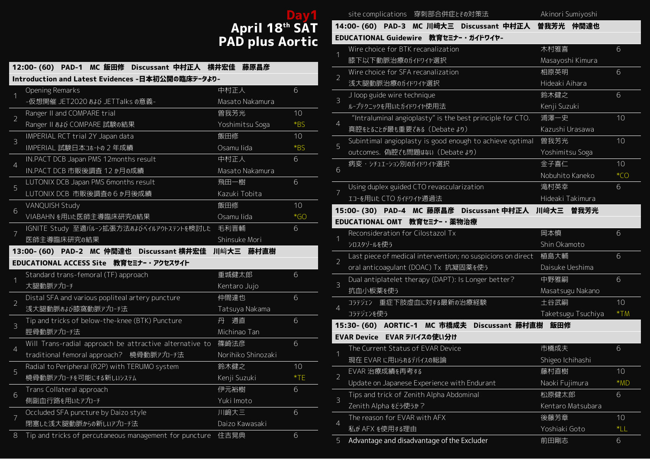# **Day1 April 18th SAT PAD plus Aortic**

|                | 12:00- (60) PAD-1 MC 飯田修 Discussant 中村正人 横井宏佳 藤原昌彦      |                    |       |
|----------------|---------------------------------------------------------|--------------------|-------|
|                | Introduction and Latest Evidences -日本初公開の臨床デ-タより-       |                    |       |
| $\overline{1}$ | <b>Opening Remarks</b>                                  | 中村正人               | 6     |
|                | -仮想開催 JET2020 おょび JETTalks の意義-                         | Masato Nakamura    |       |
| $\overline{2}$ | Ranger II and COMPARE trial                             | 曽我芳光               | 10    |
|                | Ranger II あよび COMPARE 試験の結果                             | Yoshimitsu Soga    | $*BS$ |
| 3              | IMPERIAL RCT trial 2Y Japan data                        | 飯田修                | 10    |
|                | IMPERIAL 試験日本コホートの 2年成績                                 | Osamu lida         | $*BS$ |
| $\overline{4}$ | IN.PACT DCB Japan PMS 12months result                   | 中村正人               | 6     |
|                | IN.PACT DCB 市販後調査 12 か月の成績                              | Masato Nakamura    |       |
| 5              | LUTONIX DCB Japan PMS 6months result                    | 飛田一樹               | 6     |
|                | LUTONIX DCB 市販後調査の6か月後成績                                | Kazuki Tobita      |       |
| 6              | VANQUISH Study                                          | 飯田修                | 10    |
|                | VIABAHNを用いた医師主導臨床研究の結果                                  | Osamu lida         | $*GO$ |
| $\overline{7}$ | IGNITE Study 至適バルーン拡張方法およびベイルアウトステントを検討した 毛利晋輔          |                    | 6     |
|                | 医師主導臨床研究の結果                                             | Shinsuke Mori      |       |
|                | 13:00- (60) PAD-2 MC 仲間達也 Discussant 横井宏佳 川﨑大三 藤村直樹     |                    |       |
|                | EDUCATIONAL ACCESS Site 教育セミナー・アクセスサイト                  |                    |       |
| 1              | Standard trans-femoral (TF) approach                    | 重城健太郎              | 6     |
|                | 大腿動脈ァプローチ                                               | Kentaro Jujo       |       |
| $\overline{2}$ | Distal SFA and various popliteal artery puncture        | 仲間達也               | 6     |
|                | 浅大腿動脈おお膝窩動脈アプローチ法                                       | Tatsuya Nakama     |       |
| 3              | Tip and tricks of below-the-knee (BTK) Puncture         | 通直<br>丹            | 6     |
|                | 脛骨動脈アプローチ法                                              | Michinao Tan       |       |
| $\overline{4}$ | Will Trans-radial approach be attractive alternative to | 篠崎法彦               | 6     |
|                | traditional femoral approach? 橈骨動脈アプロ-チ法                | Norihiko Shinozaki |       |
| 5              | Radial to Peripheral (R2P) with TERUMO system           | 鈴木健之               | 10    |
|                | 橈骨動脈アプローチを可能にする新しいシステム                                  | Kenji Suzuki       | $*TE$ |
| $6\,$          | Trans Collateral approach                               | 伊元裕樹               | 6     |
|                | 側副血行路を用いたアプローチ                                          | Yuki Imoto         |       |
| 7              | Occluded SFA puncture by Daizo style                    | 川﨑大三               | 6     |
|                | 閉塞した浅大腿動脈からの新しいアプローチ法                                   | Daizo Kawasaki     |       |
| $\rm 8$        | Tip and tricks of percutaneous management for puncture  | 住吉晃典               | 6     |

|                | site complications 穿刺部合併症とその対策法                                  | Akinori Sumiyoshi  |       |
|----------------|------------------------------------------------------------------|--------------------|-------|
|                | 14:00- (60) PAD-3 MC 川﨑大三 Discussant 中村正人 曽我芳光 仲間達也              |                    |       |
|                | EDUCATIONAL Guidewire 教育セミナ-・ガイドワイヤ-                             |                    |       |
| $\overline{1}$ | Wire choice for BTK recanalization                               | 木村雅喜               | 6     |
|                | 膝下以下動脈治療のガイドワイヤ選択                                                | Masayoshi Kimura   |       |
| $\overline{2}$ | Wire choice for SFA recanalization                               | 相原英明               | 6     |
|                | 浅大腿動脈治療のガイドワイヤ選択                                                 | Hideaki Aihara     |       |
| $\overline{3}$ | J loop guide wire technique                                      | 鈴木健之               | 6     |
|                | ループテクニックを用いたガイドワイヤ使用法                                            | Kenji Suzuki       |       |
| $\overline{4}$ | "Intraluminal angioplasty" is the best principle for CTO.        | 浦澤一史               | 10    |
|                | 真腔をとることが最も重要である (Debate より)                                      | Kazushi Urasawa    |       |
| 5              | Subintimal angioplasty is good enough to achieve optimal         | 曽我芳光               | 10    |
|                | outcomes. 偽腔でも問題はない (Debate より)                                  | Yoshimitsu Soga    |       |
| 6              | 病変・ラチュエーション別のカイドワイヤ選択                                            | 金子喜仁               | 10    |
|                |                                                                  | Nobuhito Kaneko    | $*CO$ |
| $\overline{7}$ | Using duplex guided CTO revascularization                        | 滝村英幸               | 6     |
|                | エコーを用いた CTO ガイドワイヤ通過法                                            | Hideaki Takimura   |       |
|                | 15:00- (30) PAD-4 MC 藤原昌彦 Discussant 中村正人 川﨑大三 曽我芳光              |                    |       |
|                | EDUCATIONAL OMT 教育セミナー・薬物治療                                      |                    |       |
| $\overline{1}$ | Reconsideration for Cilostazol Tx                                | 岡本慎                | 6     |
|                | シロスタゾールを使う                                                       | Shin Okamoto       |       |
| $\overline{2}$ | Last piece of medical intervention; no suspicions on direct 植島大輔 |                    | 6     |
|                | oral anticoagulant (DOAC) Tx 抗凝固薬を使う                             | Daisuke Ueshima    |       |
| 3              | Dual antiplatelet therapy (DAPT): Is Longer better?              | 中野雅嗣               | 6     |
|                | 抗血小板薬を使う                                                         | Masatsugu Nakano   |       |
|                | 重症下肢虚血に対する最新の治療経験<br>コラテジェン                                      | 土谷武嗣               | 10    |
| $\overline{4}$ | コラテジェンを使う                                                        | Taketsugu Tsuchiya | $*TM$ |
|                | 15:30- (60) AORTIC-1 MC 市橋成夫<br>Discussant 藤村直樹                  | 飯田修                |       |
|                | EVAR Device EVAR デバイスの使い分け                                       |                    |       |
| $\overline{1}$ | The Current Status of EVAR Device                                | 市橋成夫               | 6     |
|                | 現在 EVAR に用いられるデバイスの総論                                            | Shigeo Ichihashi   |       |
|                | EVAR 治療成績を再考する                                                   | 藤村直樹               | 10    |
| $\overline{2}$ | Update on Japanese Experience with Endurant                      | Naoki Fujimura     | $*MD$ |
| 3              | Tips and trick of Zenith Alpha Abdominal                         | 松原健太郎              | 6     |
|                | Zenith Alpha をどう使うか?                                             | Kentaro Matsubara  |       |
|                | The reason for EVAR with AFX                                     | 後藤芳章               | 10    |
| $\overline{4}$ | 私が AFX を使用する理由                                                   | Yoshiaki Goto      | $*LL$ |
| 5              | Advantage and disadvantage of the Excluder                       | 前田剛志               | 6     |
|                |                                                                  |                    |       |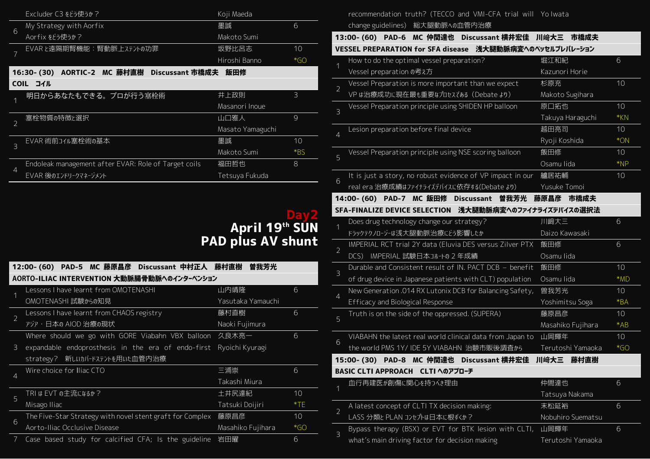|                     | Excluder C3 をどう使うか?                                  | Koji Maeda       |                |
|---------------------|------------------------------------------------------|------------------|----------------|
|                     | My Strategy with Aorfix                              | 墨誠               | 6              |
|                     | Aorfix をどう使うか?                                       | Makoto Sumi      |                |
|                     | EVARと遠隔期腎機能:腎動脈上ステントの功罪                              | 坂野比呂志            | 10             |
|                     |                                                      | Hiroshi Banno    | $*GO$          |
|                     | AORTIC-2 MC 藤村直樹 Discussant 市橋成夫<br>16:30- (30)      | 飯田修              |                |
|                     | COIL Jイル                                             |                  |                |
|                     | 明日からあなたもできる。プロが行う塞栓術                                 | 井上政則             | $\overline{3}$ |
| 6<br>$\overline{7}$ |                                                      | Masanori Inoue   |                |
| $\overline{2}$      | 塞栓物質の特徴と選択                                           | 山口雅人             | 9              |
|                     |                                                      | Masato Yamaguchi |                |
| $\overline{3}$      | EVAR 術前コイル塞栓術の基本                                     | 墨誠               | 10             |
|                     |                                                      | Makoto Sumi      | $*$ BS         |
| $\overline{4}$      | Endoleak management after EVAR: Role of Target coils | 福田哲也             | 8              |
|                     | EVAR 後のエンドリークマネージメント                                 | Tetsuya Fukuda   |                |
|                     |                                                      |                  |                |

# **Day2 April 19 th SUN PAD plus AV shunt**

2

3

|                | 12:00- (60) PAD-5 MC 藤原昌彦 Discussant 中村正人 藤村直樹            | 曽我芳光              |       |
|----------------|-----------------------------------------------------------|-------------------|-------|
|                | AORTO-ILIAC INTERVENTION 大動脈腸骨動脈へのインターベンション               |                   |       |
| 1              | Lessons I have learnt from OMOTENASHI                     | 山内靖隆              | 6     |
|                | OMOTENASHI 試験からの知見                                        | Yasutaka Yamauchi |       |
| $\overline{2}$ | Lessons I have learnt from CHAOS registry                 | 藤村直樹              | 6     |
|                | アジア・日本の AIOD 治療の現状                                        | Naoki Fujimura    |       |
|                | Where should we go with GORE Viabahn VBX balloon 久良木亮一    |                   | 6     |
| $\mathcal{E}$  | expandable endoprosthesis in the era of endo-first        | Ryoichi Kyuragi   |       |
|                | strategy? 新しいカバードステントを用いた血管内治療                            |                   |       |
| $\overline{4}$ | Wire choice for Iliac CTO                                 | 三浦崇               | 6     |
|                |                                                           | Takashi Miura     |       |
| 5              | TRI は EVT の主流になるか?                                        | 土井尻達紀             | 10    |
|                | Misago Iliac                                              | Tatsuki Doijiri   | $*TE$ |
| 6              | The Five-Star Strategy with novel stent graft for Complex | 藤原昌彦              | 10    |
|                | Aorto-Iliac Occlusive Disease                             | Masahiko Fujihara | $*GO$ |
| 7              | Case based study for calcified CFA; Is the guideline      | 岩田曜               | 6     |

recommendation truth? (TECCO and VMI-CFA trial will Yo Iwata change guidelines) 総大腿動脈への血管内治療

|                | $13:00 - (60)$<br>PAD-6 MC 仲間達也<br>Discussant 横井宏佳         | 川﨑大三<br>市橋成夫      |       |
|----------------|------------------------------------------------------------|-------------------|-------|
|                | VESSEL PREPARATION for SFA disease 浅大腿動脈病変へのベッセルプレパレーション   |                   |       |
| 1              | How to do the optimal vessel preparation?                  | 堀江和紀              | 6     |
|                | Vessel preparation の考え方                                    | Kazunori Horie    |       |
| $\overline{2}$ | Vessel Preparation is more important than we expect        | 杉原充               | 10    |
|                | VP は治療成功に現在最も重要なプロセスである (Debate より)                        | Makoto Sugihara   |       |
| 3              | Vessel Preparation principle using SHIDEN HP balloon       | 原口拓也              | 10    |
|                |                                                            | Takuya Haraguchi  | $*KN$ |
| $\overline{4}$ | Lesion preparation before final device                     | 越田亮司              | 10    |
|                |                                                            | Ryoji Koshida     | $*ON$ |
| 5              | Vessel Preparation principle using NSE scoring balloon     | 飯田修               | 10    |
|                |                                                            | Osamu lida        | $*NP$ |
| 6              | It is just a story, no robust evidence of VP impact in our | 艫居祐輔              | 10    |
|                | real era 治療成績はファイナライズデバイスに依存する(Debate より)                  | Yusuke Tomoi      |       |
|                | 14:00- (60) PAD-7 MC 飯田修 Discussant<br>曽我芳光                | 藤原昌彦<br>市橋成夫      |       |
|                | SFA-FINALIZE DEVICE SELECTION 浅大腿動脈病変へのファイナライズデバイスの選択法     |                   |       |
|                |                                                            |                   |       |
|                | Does drug technology change our strategy?                  | 川﨑大三              | 6     |
|                | ドラックテクノロージーは浅大腿動脈治療にどう影響したか                                | Daizo Kawasaki    |       |
|                | IMPERIAL RCT trial 2Y data (Eluvia DES versus Zilver PTX   | 飯田修               | 6     |
| $\overline{2}$ | IMPERIAL 試験日本コホートの 2年成績<br>DCS                             | Osamu lida        |       |
|                | Durable and Consistent result of IN. PACT DCB - benefit    | 飯田修               | 10    |
| $\mathcal{S}$  | of drug device in Japanese patients with CLT) population   | Osamu lida        | $*MD$ |
|                | New Generation .014 RX Lutonix DCB for Balancing Safety,   | 曽我芳光              | 10    |
| $\overline{4}$ | <b>Efficacy and Biological Response</b>                    | Yoshimitsu Soga   | $*BA$ |
|                | Truth is on the side of the oppressed. (SUPERA)            | 藤原昌彦              | 10    |
| 5              |                                                            | Masahiko Fujihara | $*AB$ |
|                | VIABAHN the latest real world clinical data from Japan to  | 山岡輝年              | 10    |
|                | the world PMS 1Y/ IDE 5Y VIABAHN 治験市販後調査から                 | Terutoshi Yamaoka | $*GO$ |
| 6              | 15:00- (30) PAD-8 MC 仲間達也<br>Discussant 横井宏佳               | 川﨑大三<br>藤村直樹      |       |
|                | <b>BASIC CLTI APPROACH CLTI へのアプローチ</b>                    |                   |       |
| $\overline{1}$ | 血行再建医が創傷に関心を持つべき理由                                         | 仲間達也              | 6     |

| A latest concept of CLTI TX decision making:               | 末松延裕              | 6 |
|------------------------------------------------------------|-------------------|---|
| LASS 分類と PLAN コンセプトは日本に根ずくか?                               | Nobuhiro Suematsu |   |
| Bypass therapy (BSX) or EVT for BTK lesion with CLTI, 山岡輝年 |                   | 6 |
| what's main driving factor for decision making             | Terutoshi Yamaoka |   |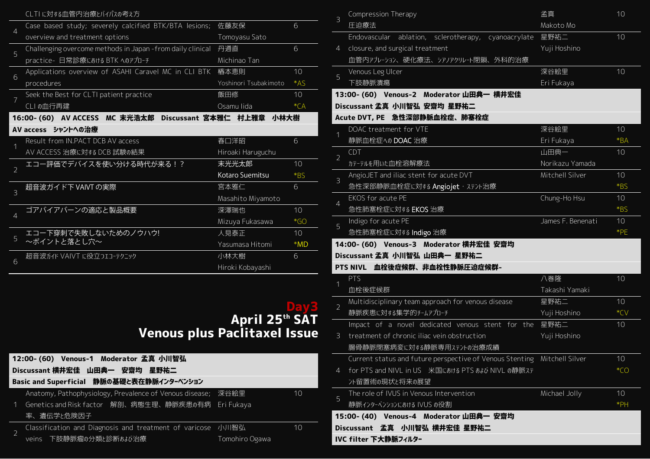|                | CLTI に対する血管内治療とバイパスの考え方                                     |                       |        |
|----------------|-------------------------------------------------------------|-----------------------|--------|
| $\overline{4}$ | Case based study; severely calcified BTK/BTA lesions;       | 佐藤友保                  | 6      |
|                | overview and treatment options                              | Tomoyasu Sato         |        |
| 5              | Challenging overcome methods in Japan - from daily clinical | 丹通直                   | 6      |
|                | practice- 日常診療における BTK へのアプローチ                              | Michinao Tan          |        |
| 6              | Applications overview of ASAHI Caravel MC in CLI BTK        | 椿本恵則                  | 10     |
|                | procedures                                                  | Yoshinori Tsubakimoto | $*AS$  |
| $\overline{7}$ | Seek the Best for CLTI patient practice                     | 飯田修                   | 10     |
|                | CLI の血行再建                                                   | Osamu lida            | $*CA$  |
|                | 16:00- (60) AV ACCESS MC 末光浩太郎 Discussant 宮本雅仁 村上雅章 小林大樹    |                       |        |
|                | AV access シャントへの治療                                          |                       |        |
|                | Result from IN.PACT DCB AV access                           | 春口洋昭                  | 6      |
|                | AV ACCESS 治療に対する DCB 試験の結果                                  | Hiroaki Haruguchu     |        |
| $\overline{2}$ | エコー評価でデバイスを使い分ける時代が来る!?                                     | 末光光太郎                 | 10     |
|                |                                                             | Kotaro Suemitsu       | *BS    |
| $\overline{3}$ | 超音波ガイド下 VAIVT の実際                                           | 宮本雅仁                  | 6      |
|                |                                                             | Masahito Miyamoto     |        |
| $\overline{4}$ | ゴアバイアバーンの適応と製品概要                                            | 深澤瑞也                  | 10     |
|                |                                                             | Mizuya Fukasawa       | $*$ GO |
| 5              | エコー下穿刺で失敗しないためのノウハウ!                                        | 人見泰正                  | 10     |
|                | ~ポイントと落とし穴~                                                 | Yasumasa Hitomi       | $*MD$  |
| 6              | 超音波ガイド VAIVT に役立つエコーテクニック                                   | 小林大樹                  | 6      |
|                |                                                             | Hiroki Kobayashi      |        |

### **Day3 April 25th SAT Venous plus Paclitaxel Issue**

|             | 12:00- (60) Venous-1 Moderator 孟真 小川智弘                       |                |    |
|-------------|--------------------------------------------------------------|----------------|----|
|             | Discussant 横井宏佳 山田典一 安齋均 星野祐二                                |                |    |
|             | Basic and Superficial 静脈の基礎と表在静脈インターベンション                    |                |    |
|             | Anatomy, Pathophysiology, Prevalence of Venous disease; 深谷絵里 |                | 10 |
| $\mathbf 1$ | Genetics and Risk factor 解剖、病態生理、静脈疾患の有病 Eri Fukaya          |                |    |
|             | 率、遺伝学と危険因子                                                   |                |    |
|             | Classification and Diagnosis and treatment of varicose 小川智弘  |                | 10 |
|             | veins 下肢静脈瘤の分類と診断あよび治療                                       | Tomohiro Ogawa |    |

| 3                                                                      | Compression Therapy                                      | 孟真                | 10     |
|------------------------------------------------------------------------|----------------------------------------------------------|-------------------|--------|
|                                                                        | 圧迫療法                                                     | Makoto Mo         |        |
|                                                                        | Endovascular ablation, sclerotherapy, cyanoacrylate      | 星野祐二              | 10     |
| $\overline{4}$                                                         | closure, and surgical treatment                          | Yuji Hoshino      |        |
|                                                                        | 血管内アフレーラョン、硬化療法、ラアノアクリレート閉鎖、外科的治療                        |                   |        |
|                                                                        | Venous Leg Ulcer                                         | 深谷絵里              | 10     |
| 5                                                                      | 下肢静脈潰瘍                                                   | Eri Fukaya        |        |
|                                                                        | 13:00- (60) Venous-2 Moderator 山田典一 横井宏佳                 |                   |        |
|                                                                        | Discussant 孟真 小川智弘 安齋均 星野祐二                              |                   |        |
|                                                                        | Acute DVT, PE 急性深部静脈血栓症、肺塞栓症                             |                   |        |
| 1                                                                      | DOAC treatment for VTE                                   | 深谷絵里              | 10     |
|                                                                        | 静脈血栓症への DOAC 治療                                          | Eri Fukaya        | $*BA$  |
|                                                                        | <b>CDT</b>                                               | 山田典一              | 10     |
|                                                                        | カテーテルを用いた血栓溶解療法                                          | Norikazu Yamada   |        |
|                                                                        | AngioJET and iliac stent for acute DVT                   | Mitchell Silver   | 10     |
|                                                                        | 急性深部静脈血栓症に対する Angiojet · ステント治療                          |                   | $*BS$  |
|                                                                        | EKOS for acute PE                                        | Chung-Ho Hsu      | 10     |
|                                                                        | 急性肺塞栓症に対する EKOS 治療                                       |                   | $*$ BS |
|                                                                        | Indigo for acute PE                                      | James F. Benenati | 10     |
|                                                                        | 急性肺塞栓症に対する Indigo 治療                                     |                   | $*PE$  |
|                                                                        | 14:00- (60) Venous-3 Moderator 横井宏佳 安齋均                  |                   |        |
|                                                                        | Discussant 孟真 小川智弘 山田典一 星野祐二                             |                   |        |
|                                                                        | PTS NIVL 血栓後症候群、非血栓性静脈圧迫症候群-                             |                   |        |
|                                                                        | PTS                                                      | 八巻隆               | 10     |
|                                                                        | 血栓後症候群                                                   | Takashi Yamaki    |        |
|                                                                        | Multidisciplinary team approach for venous disease       | 星野祐二              | 10     |
|                                                                        | 静脈疾患に対する集学的チームアプローチ                                      | Yuji Hoshino      | $*CV$  |
| $\overline{2}$<br>3<br>$\overline{4}$<br>5<br>1<br>$\overline{2}$<br>3 | Impact of a novel dedicated venous stent for the         | 星野祐二              | 10     |
|                                                                        | treatment of chronic iliac vein obstruction              | Yuji Hoshino      |        |
|                                                                        | 腸骨静脈閉塞病変に対する静脈専用ステントの治療成績                                |                   |        |
|                                                                        | Current status and future perspective of Venous Stenting | Mitchell Silver   | 10     |
| $\overline{4}$                                                         | for PTS and NIVL in US 米国における PTS および NIVL の静脈ステ         |                   | $*CO$  |
|                                                                        | ント留置術の現状と将来の展望                                           |                   |        |
| 5                                                                      | The role of IVUS in Venous Intervention                  | Michael Jolly     | 10     |
|                                                                        | 静脈インターベンションにおける IVUS の役割                                 |                   | $*PH$  |
|                                                                        | 15:00- (40) Venous-4 Moderator 山田典一 安齋均                  |                   |        |
|                                                                        | Discussant 孟真 小川智弘 横井宏佳 星野祐二                             |                   |        |
|                                                                        | IVC filter 下大静脈フィルター                                     |                   |        |
|                                                                        |                                                          |                   |        |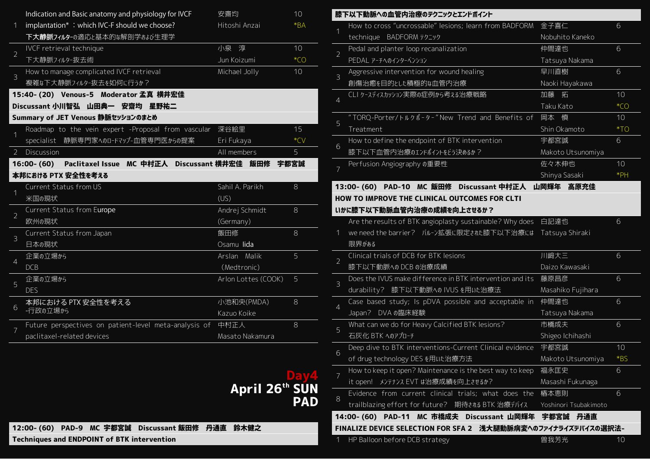| $\mathbf 1$    | Indication and Basic anatomy and physiology for IVCF<br>implantation*: which IVC-F should we choose?<br>下大静脈フィルターの適応と基本的な解剖学および生理学 | 安齋均<br>Hitoshi Anzai | 10<br>$*BA$ |
|----------------|------------------------------------------------------------------------------------------------------------------------------------|----------------------|-------------|
| $\overline{2}$ | IVCF retrieval technique<br>下大静脈フィルター抜去術                                                                                           | 小泉淳<br>Jun Koizumi   | 10<br>$*CO$ |
| $\mathcal{E}$  | How to manage complicated IVCF retrieval<br>複雑な下大静脈フィルター抜去を如何に行うか?                                                                 | Michael Jolly        | 10          |
|                | 15:40- (20) Venous-5 Moderator 孟真 横井宏佳<br>Discussant 小川智弘 山田典一 安齋均 星野祐二                                                            |                      |             |
|                | Summary of JET Venous 静脈セッションのまとめ                                                                                                  |                      |             |
| 1              | Roadmap to the vein expert -Proposal from vascular                                                                                 | 深谷絵里                 | 15          |
|                | specialist 静脈専門家へのロードマップ-血管専門医からの提案                                                                                                | Eri Fukaya           | $*CV$       |
| $\overline{2}$ | Discussion                                                                                                                         | All members          | 5           |
|                | 16:00- (60) Paclitaxel Issue MC 中村正人 Discussant 横井宏佳 飯田修                                                                           |                      | 宇都宮誠        |
|                | 本邦における PTX 安全性を考える                                                                                                                 |                      |             |
| 1              | Current Status from US                                                                                                             | Sahil A. Parikh      | 8           |
|                | 米国の現状                                                                                                                              | (US)                 |             |
| $\overline{2}$ | Current Status from Europe                                                                                                         | Andrej Schmidt       | 8           |
|                | 欧州の現状                                                                                                                              | (Germany)            |             |
| 3              | Current Status from Japan                                                                                                          | 飯田修                  | 8           |
|                | 日本の現状                                                                                                                              | Osamu lida           |             |
|                | 企業の立場から                                                                                                                            | Arslan Malik         | 5           |
| $\overline{4}$ | <b>DCB</b>                                                                                                                         | (Medtronic)          |             |
|                | 企業の立場から                                                                                                                            | Arlon Lottes (COOK)  | 5           |
| 5              | <b>DES</b>                                                                                                                         |                      |             |
|                | 本邦における PTX 安全性を考える                                                                                                                 | 小池和央(PMDA)           | 8           |
| 6              | -行政の立場から                                                                                                                           | Kazuo Koike          |             |
|                | Future perspectives on patient-level meta-analysis of                                                                              | 中村正人                 | $\rm 8$     |
| 7              | paclitaxel-related devices                                                                                                         | Masato Nakamura      |             |

# **Day4 April 26th SUN PAD**

**12:00- (60) PAD-9 MC 宇都宮誠 Discussant 飯田修 丹通直 鈴木健之**

**Techniques and ENDPOINT of BTK intervention**

|                | 膝下以下動脈への血管内治療のテクニックとエンドポイント                                   |                       |       |
|----------------|---------------------------------------------------------------|-----------------------|-------|
| 1              | How to cross "uncrossable" lesions; learn from BADFORM        | 金子喜仁                  | 6     |
|                | technique BADFORM テクニック                                       | Nobuhito Kaneko       |       |
| $\overline{2}$ | Pedal and planter loop recanalization                         | 仲間達也                  | 6     |
|                | PEDAL アーチへのインターベンション                                          | Tatsuya Nakama        |       |
| $\overline{3}$ | Aggressive intervention for wound healing                     | 早川直樹                  | 6     |
|                | 創傷治癒を目的とした積極的な血管内治療                                           | Naoki Hayakawa        |       |
| $\overline{4}$ | CLI ケースティスカッション実際の症例から考ぇる治療戦略                                 | 加藤 拓                  | 10    |
|                |                                                               | Taku Kato             | $*CO$ |
| 5              | "TORQ-Porter/トルクポ-タ-"New Trend and Benefits of                | 岡本 慎                  | 10    |
|                | Treatment                                                     | Shin Okamoto          | $*TO$ |
| 6              | How to define the endpoint of BTK intervention                | 宇都宮誠                  | 6     |
|                | 膝下以下血管内治療のエンドポイントをどう決めるか?                                     | Makoto Utsunomiya     |       |
| 7              | Perfusion Angiography の重要性                                    | 佐々木伸也                 | 10    |
|                |                                                               | Shinya Sasaki         | $*PH$ |
|                | 13:00- (60) PAD-10 MC 飯田修 Discussant 中村正人                     | 山岡輝年<br>高原充佳          |       |
|                | <b>HOW TO IMPROVE THE CLINICAL OUTCOMES FOR CLTI</b>          |                       |       |
|                | いかに膝下以下動脈血管内治療の成績を向上させるか?                                     |                       |       |
|                | Are the results of BTK angioplasty sustainable? Why does      | 白記達也                  | 6     |
| 1              | we need the barrier? バルーン拡張に限定された膝下以下治療には                     | Tatsuya Shiraki       |       |
|                | 限界がある                                                         |                       |       |
| $\overline{2}$ | Clinical trials of DCB for BTK lesions                        | 川﨑大三                  | 6     |
|                | 膝下以下動脈へのDCBの治療成績                                              | Daizo Kawasaki        |       |
| 3              | Does the IVUS make difference in BTK intervention and its     | 藤原昌彦                  | 6     |
|                | durability? 膝下以下動脈への IVUS を用いた治療法                             | Masahiko Fujihara     |       |
| $\overline{4}$ | Case based study; Is pDVA possible and acceptable in          | 仲間達也                  | 6     |
|                | DVA の臨床経験<br>Japan?                                           | Tatsuya Nakama        |       |
| 5              | What can we do for Heavy Calcified BTK lesions?               | 市橋成夫                  | 6     |
|                | 石灰化 BTK へのアプローチ                                               | Shigeo Ichihashi      |       |
| 6              | Deep dive to BTK interventions-Current Clinical evidence      | 宇都宮誠                  | 10    |
|                | of drug technology DES を用いた治療方法                               | Makoto Utsunomiya     | *BS   |
| $\overline{7}$ | How to keep it open? Maintenance is the best way to keep      | 福永匡史                  | 6     |
|                | it open! メンテナンス EVT は治療成績を向上させるか?                             | Masashi Fukunaga      |       |
| 8              | Evidence from current clinical trials; what does the          | 椿本恵則                  | 6     |
|                | trailblazing effort for future? 期待される BTK 治療デバイス              | Yoshinori Tsubakimoto |       |
|                | 14:00- (60) PAD-11 MC 市橋成夫<br>Discussant 山岡輝年                 | 宇都宮誠<br>丹通直           |       |
|                | FINALIZE DEVICE SELECTION FOR SFA 2 浅大腿動脈病変へのファイナライズデバイスの選択法- |                       |       |
| 1              | HP Balloon before DCB strategy                                | 曽我芳光                  | 10    |